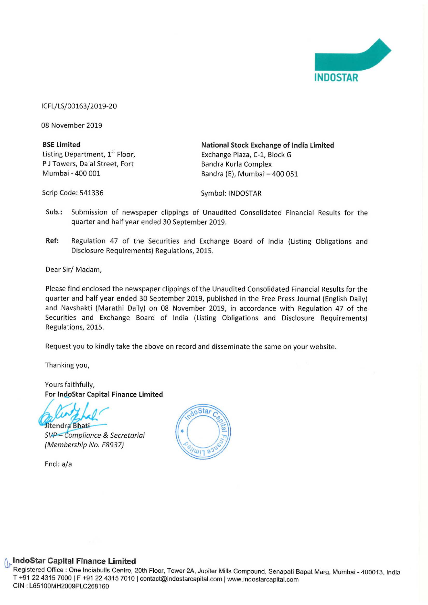

ICFL/LS/00163/2019-20

08 November 2019

| <b>BSE Limited</b>                         | National Stock Exchange of India Limited |
|--------------------------------------------|------------------------------------------|
| Listing Department, 1 <sup>st</sup> Floor, | Exchange Plaza, C-1, Block G             |
| P J Towers, Dalal Street, Fort             | Bandra Kurla Complex                     |
| Mumbai - 400 001                           | Bandra (E), Mumbai - 400 051             |

Scrip Code: 541336 Symbol: INDOSTAR

- Sub.: Submission of newspaper clippings of Unaudited Consolidated Financial Results for the quarter and half year ended 30 September 2019.
- Ref: Regulation 47 of the Securities and Exchange Board of India (Listing Obligations and Disclosure Requirements) Regulations, 2015.

Dear Sir/ Madam,

Please find enclosed the newspaper clippings of the Unaudited Consolidated Financial Results for the quarter and half year ended 30 September 2019, published in the Free Press Journal (English Daily) and Navshakti (Marathi Daily) on 08 November 2019, in accordance with Regulation 47 of the Securities and Exchange Board of India (Listing Obligations and Disclosure Requirements) Regulations, 2015.

Request you to kindly take the above on record and disseminate the same on your website.

Thanking you,

Yours faithfully,

For IndoStar Capital Finance Limited<br>Sitendra Bhati<br>SVP - Compliance & Secretarial

(Membership No. F8937)

Encl: a/a



## IndoStar Capital Finance Limited

wer 2A, Jı<br>dostarcapit<br>dostarcapit Registered Office : One Indiabulls Centre, 20th Floor, Tower 2A, Jupiter Mills Compound, Senapati Bapat Marg, Mumbai - 400013, India<br>T +91 22 4315 7000 | F +91 22 4315 7010 | contact@indostarcapital.com | www.indostarcapit T +91 22 4315 7000 | F +91 22 4315 7010 | contact@indostarcapital.com | www.indostarcapital.com<br>CIN : L65100MH2009PLC268160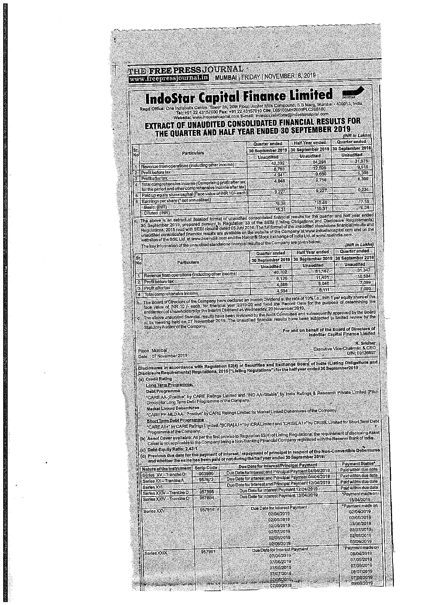|                                                            | <b>IndoStar Capital Finance Limited</b><br>Regd Office: One Indiabulis Centre, Tower 2A, 20th Floor, Jupiter Mills Compound, S.B. Marg, Mumbal - 400013, India                                                                                                                                                                                                                                                                                                                       |                                                                                                                                                         |                                          |                                                                                                                                                                                                                       |                                                          | <b>INGGSTAR</b>                                                                                                          |
|------------------------------------------------------------|--------------------------------------------------------------------------------------------------------------------------------------------------------------------------------------------------------------------------------------------------------------------------------------------------------------------------------------------------------------------------------------------------------------------------------------------------------------------------------------|---------------------------------------------------------------------------------------------------------------------------------------------------------|------------------------------------------|-----------------------------------------------------------------------------------------------------------------------------------------------------------------------------------------------------------------------|----------------------------------------------------------|--------------------------------------------------------------------------------------------------------------------------|
|                                                            | EXTRACT OF UNAUDITED CONSOLIDATED FINANCIAL RESULTS FOR<br>THE QUARTER AND HALF YEAR ENDED 30 SEPTEMBER 2019                                                                                                                                                                                                                                                                                                                                                                         | Tel: +91 22 43157000 Fax: +91 22 43157010 CIN: L65100MH2009PLC268160<br>Wabsite: www.indostarcapital.com E-mail: Investor.relations@indostarcapital.com |                                          |                                                                                                                                                                                                                       |                                                          |                                                                                                                          |
| S.<br>Nö                                                   | Particulars                                                                                                                                                                                                                                                                                                                                                                                                                                                                          |                                                                                                                                                         |                                          | Quarter ended<br>30 September 2019<br><b>Unaudited</b>                                                                                                                                                                | Haif Year ended<br>30 September 2019<br><b>Unaudited</b> | (INR In Lakhs)<br>Quarter ended<br>30 September 2018<br><b>Unaudited</b>                                                 |
| 31<br>Profit before tax<br>边<br>Profit after tax<br>838    | Revenue from operations (including other income)                                                                                                                                                                                                                                                                                                                                                                                                                                     |                                                                                                                                                         |                                          | 42.392<br>6.753<br>4.941                                                                                                                                                                                              | 84,298<br>12.599<br>9 650<br>9.716                       | 31,976<br>9.916<br>6,398<br>6,399                                                                                        |
| $\alpha$<br>Đ.<br>B.                                       | Total comprehensive income (Comprising profit after tax<br>for the period and other comprehensive income after tax)<br>Paid up equity share capital (Face value of INR 10/-each)<br>Earnings per share (* not annualised)                                                                                                                                                                                                                                                            |                                                                                                                                                         |                                          | 4,948<br>9.227                                                                                                                                                                                                        | 9.227                                                    | 9,224<br>*7 15                                                                                                           |
| Basic (INR)<br>Difuted (INR)                               | a. The above is an extract of detailed format of unaudited consolidated financial results for the quarter and half year ended<br>30 September 2019, prepared pursunt to Regulation 33 of the SEBI (Listing Obligations and Disclosure Requirements)                                                                                                                                                                                                                                  |                                                                                                                                                         |                                          | *6.36<br>15.31                                                                                                                                                                                                        | *10.46<br>*10.31                                         | 16.36                                                                                                                    |
|                                                            | Regulations, 2016 read with SEBI circular dated 05 July 2016. The full format of the unaudited standalone financial results and<br>unaudited consolidated financial results are available on the website of the Company at www.indostarcapital.com and on the<br>websites of the BSE Ltd. at www.bseindla.com and the National Slock Exchange of India Ltd. at www.nseindla.com<br>The key information of the unaudited standalone financial results of the Company are given below. |                                                                                                                                                         |                                          |                                                                                                                                                                                                                       |                                                          | (INR in Lakhs)                                                                                                           |
| Sr.<br>No                                                  | <b>Particulars</b>                                                                                                                                                                                                                                                                                                                                                                                                                                                                   |                                                                                                                                                         |                                          | Quarter ended<br>30 September 2019<br>Unaudited                                                                                                                                                                       | Half Year ended<br>30 September 2019<br><b>Unaudited</b> | Quarter ended<br>30 September 2018<br>Unaudited                                                                          |
| Profit before tax:<br>$2^{\circ}$<br>Profit after tax<br>3 | Revenue from operations (including other income)                                                                                                                                                                                                                                                                                                                                                                                                                                     |                                                                                                                                                         |                                          | 40.702<br>6.126<br>4.586                                                                                                                                                                                              | <b>B1,167</b><br>11,451<br>8,048                         | 31.347<br>10.584<br>7.089<br>7.090                                                                                       |
| 淨                                                          | Total comprehensive Income<br>b. The Board of Directors of the Company have declared an Interim Dividend at the rate of 10%1,e., INR 1 per equity share of the<br>face value of INR 10 /- each, for financial year 2019-20 and fixed the Record Date for the purpose of determining the<br>entitlement of shareholders for the Interim Dividend as Wednesday, 20 November 2019.                                                                                                      |                                                                                                                                                         |                                          | 4,594                                                                                                                                                                                                                 | 8.111                                                    |                                                                                                                          |
|                                                            | c. The above unaudited financial results have been reviewed by the Audit Committee and subsequently approved by the Board<br>at its meeting held on 07 November 2019. The unaudited financial results have been subjected to limited review by the<br>Statutory Auditor of the Company.                                                                                                                                                                                              |                                                                                                                                                         |                                          |                                                                                                                                                                                                                       | For and on behalf of the Board of Directors of           |                                                                                                                          |
| Place; Mumbai                                              |                                                                                                                                                                                                                                                                                                                                                                                                                                                                                      |                                                                                                                                                         |                                          |                                                                                                                                                                                                                       | Executive Vice-                                          | IndoStar Capital Finance Limited<br>R. Sridhar<br>Chairman & CEO<br>DIN: 00136697                                        |
| Date : 07 November 2019                                    | Disclosures in accordance with Regulation 52(4) of Securities and Exchange Board of India (Listing Obligations and<br>Disclosure Requirements) Regulations, 2015 ("Listing Regulations") for the half year ended 30 September 2019,                                                                                                                                                                                                                                                  |                                                                                                                                                         |                                          |                                                                                                                                                                                                                       |                                                          |                                                                                                                          |
| (a) Credit Rating                                          | Long Term Programme;<br>*CARE AA-;Positive" by CARE Ratings Limited and "IND AA-/Stable" by India Ratings & Research Private Limited (Fitch                                                                                                                                                                                                                                                                                                                                          |                                                                                                                                                         |                                          |                                                                                                                                                                                                                       |                                                          |                                                                                                                          |
|                                                            | Group) for Long Term Debt Programme of the Company.<br><b>Market Linked Debentures</b><br>*CARE PP-MLD AA-; Positive" by CARE Ratings Limited for Market Linked Debentures of the Company.                                                                                                                                                                                                                                                                                           |                                                                                                                                                         |                                          |                                                                                                                                                                                                                       |                                                          |                                                                                                                          |
|                                                            | <b>Short Term Debt Programme</b><br>"CARE A1+" by CARE Ratings Limited, "[ICRA] A1+" by ICRA Limited and "CRISIL A1+" by CRISIL Limited for Short Term Debt<br>Programme of the Company,<br>(b) Asset Cover available: As per the first proviso to Regulation 52(4) of Listing Regulations, the requirement of disclosing Asset<br>Cover is not applicable to the Company being a Non-Banking Financial Company registared with the Reserve Bank of India                            |                                                                                                                                                         |                                          |                                                                                                                                                                                                                       |                                                          |                                                                                                                          |
|                                                            | (c) Debt-Equity Ratio: 2.43:1<br>(d) Previous due date for the payment of Interest / repayment of principal in respect of the Non-Convertible Debentures<br>and whether the same has been paid or not during the half year ended 30 September 2019.                                                                                                                                                                                                                                  |                                                                                                                                                         |                                          |                                                                                                                                                                                                                       |                                                          |                                                                                                                          |
|                                                            | Nature of the Instrument                                                                                                                                                                                                                                                                                                                                                                                                                                                             | <b>Scrip Code</b><br>953980<br>957672                                                                                                                   |                                          | Due Date for Interest/Principal Payment<br>Due Date for Interest and Principal Payment 04/04/2019<br>Due Date for Interest and Principal Payment 04/04/2019<br>Due Date for Interest and Principal Payment 12/04/2019 |                                                          | Payment Status*<br>Paid within due date<br>Paid within due date<br>Paid within due date                                  |
| Series XV-Tranche D<br>Series XX-Tranche A                 |                                                                                                                                                                                                                                                                                                                                                                                                                                                                                      |                                                                                                                                                         |                                          |                                                                                                                                                                                                                       |                                                          | Paid within due date<br>*Payment made on                                                                                 |
| Series XVI                                                 | Series XXIV-Tranche D<br>Series XXIV-Tranche C                                                                                                                                                                                                                                                                                                                                                                                                                                       | 957895<br>957894                                                                                                                                        | Due Date for Interest Payment 12/04/2019 | Due Date for Interest Payment 13/04/2019                                                                                                                                                                              |                                                          | 15/04/2019                                                                                                               |
| Series XXV                                                 |                                                                                                                                                                                                                                                                                                                                                                                                                                                                                      | 957916                                                                                                                                                  |                                          | Due Date for Interest Payment<br>02/04/2019<br>02/05/2019                                                                                                                                                             |                                                          |                                                                                                                          |
|                                                            |                                                                                                                                                                                                                                                                                                                                                                                                                                                                                      |                                                                                                                                                         |                                          | 02/06/2019<br>02/07/2019<br>02/08/2019<br>02/09/2019<br>Due Date for Interest Payment                                                                                                                                 |                                                          | *Payment made on<br>02/04/2019<br>02/05/2019<br>03/06/2019<br>02/07/2019<br>02/08/2019<br>03/09/2019<br>*Payment made on |

**Mose** 0.82

**CONTRACTOR** 

 $\hat{r}$   $\bar{z}$ 

 $\bar{z}$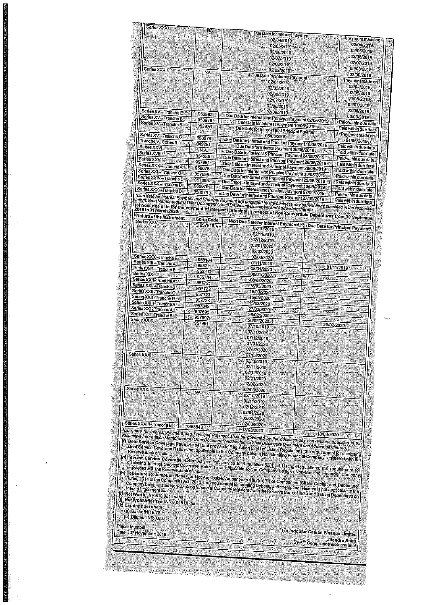| <b>Series XXXI</b>                                    | NA     | Due Date for Interest Payment                           |                      |
|-------------------------------------------------------|--------|---------------------------------------------------------|----------------------|
|                                                       |        | 02/04/2019                                              | Payment made on      |
|                                                       |        | 02/05/2019                                              | 02/04/2019           |
|                                                       |        |                                                         | 02/05/2019           |
|                                                       |        | 02/06/2019                                              | 03/06/2019           |
|                                                       |        | 02/07/2019                                              | 02/07/2019           |
| Series XXXII                                          |        | 02/08/2019                                              | 02/08/2019           |
|                                                       | ΝA     | 02/09/2019                                              | 03/09/2019           |
|                                                       |        | Due Date for Interest Payment                           |                      |
|                                                       |        | 02/04/2019                                              | Payment made on      |
|                                                       |        | 02/05/2019                                              | 02/04/2019           |
|                                                       |        | 02/06/2019                                              | 02/05/2019           |
|                                                       |        | 02/07/2019                                              | 03/06/2019           |
|                                                       |        | 02/08/2019                                              | 02/07/2019           |
| Series XV-Tranche E                                   | 953982 | 02/09/2019                                              | 02/08/2019           |
| Series XV-Tranche B                                   | 953976 | Due Date for Interest and Principal Payment 02/05/2019. | 03/09/2019           |
| Series XV-Tranche B                                   | 953976 | Due Date for Interest Payment 10/05/2019                | Pald within due date |
|                                                       |        | Due Date for interest and Principal Payment             | Paid within due date |
| Series XV-Tranche C                                   | 953978 | 05/06/2019                                              | Payment made on      |
| Tranche V - Series II                                 |        | Due Date for Interest and Principal Payment 10/05/2019  | 04/06/2019           |
| Sarles XXVI                                           | 949281 | Due Date for Interest Payment 06/06/2019                | Paid within due date |
| Series XVIII                                          | ИA     | Due Date for Interest & Principal Payment 24/06/2019    | Paid within due date |
| Series XXVII                                          | 954285 | Due Date for Interest and Principal Payment 28/06/2019  | Paid within due date |
| Series XXX-Tranche A                                  | 957981 | Due Date for Interestand Principal Payment 28/08/2019   | Pald within due date |
| Series XXI - Tranche C                                | 958078 | Due Date for Interest and Principal Payment 30/08/2019  | Paid within due date |
| Series XXIV-Tranche D                                 | 957698 | Due Date for Interestand Principal Payment 23/08/2019   | Paid within due date |
| Series XXX - Tranche B                                | 957895 | Due Date for Interest and Principal Payment 18/09/2019  | Pald within due date |
| Series XXX-Tranche D                                  | 958079 | Due Date for Interest and Principal Payment 27/09/2019  | Paid within due date |
| "Due dale for interest Payment and Penalagi Daughting | 958079 | Due Date for Interest and Principal Rayment 27/09/2019  | Paid within due date |

|| "Duo dala for interest Payment and Principal Payment are governed by the business day conventions and a Philadele B<br>| let Normalon Memorandum / Offer Document / Shelf Disclosure Document and Addendum thereto.<br>| let Next <u>un que date </u>

| Series XXV                | <b>Portp Code</b> | Next Due Date for Interest Payment |                                 |
|---------------------------|-------------------|------------------------------------|---------------------------------|
|                           | 957916            | 02/10/2019                         | Due Date for Principal Payment* |
|                           |                   | 02/11/2019                         |                                 |
|                           |                   | 02/12/2019                         |                                 |
|                           |                   | 02/01/2020                         |                                 |
|                           |                   | 02/02/2020                         |                                 |
| Series XXX - Tranche E    |                   | 02/03/2020                         |                                 |
| Series XIII - Tranche A   | 958164            | 01/11/2019                         |                                 |
| Series XIII - Tranche B   | 953211            | 08/01/2020                         | 01/11/2019                      |
| Series XIX                | 953212            | 08/01/2020                         |                                 |
| Series XXII - Tranche A   | 955754            | 08/02/2020                         |                                 |
| Series XXII - Tranche B   | 957721            | 15/03/2020                         |                                 |
| Series XXII - Tranche C   | 957722            | 15/03/2020                         |                                 |
| Series XXII - Tranche D   | 957723            | 15/03/2020                         |                                 |
| Series XXIII - Tranche A  | 957724            | 15/03/2020                         |                                 |
| Series XXI - Tranche A    | 957849            | 27/03/2020                         | ¥.                              |
| Series XXI - Tranche B    | 957695            | 26/02/2020                         |                                 |
| Series XXIX               | 957697            | 26/02/2020                         |                                 |
|                           | 957991            | 07/10/2019                         | 26/02/2020                      |
|                           |                   | 07/11/2019                         |                                 |
|                           |                   | 07/12/2019                         |                                 |
|                           |                   | 07/01/2020                         |                                 |
|                           |                   | 07/02/2020                         |                                 |
| Series XXXI               |                   | 07/03/2020                         |                                 |
|                           | NA.               | 02/10/2019                         |                                 |
|                           |                   | 02/11/2019                         |                                 |
|                           |                   | 02/12/2019                         |                                 |
|                           |                   | 02/01/2020                         |                                 |
|                           |                   | 02/02/2020                         |                                 |
| Series XXXII              |                   | 02/03/2020                         |                                 |
|                           | NA.               | 02/10/2019                         |                                 |
|                           |                   | 02/11/2019                         | S)                              |
|                           |                   | 02/12/2019                         |                                 |
|                           |                   | 02/01/2020                         |                                 |
|                           |                   | 02/02/2020                         |                                 |
| Series XXXIII - Tranche B |                   | 02/03/2020                         |                                 |
| $D1$ data $L2$ .          | 958643            | 13/03/2020                         |                                 |

The date for interest Payment and Principal Payment shall be governed by the business day conventions specified in the respective information Memorandim (Offer Document/Addendum to Shelf Disclosure Document and Addendum th

Reserve Bank of India,<br>
(9) Interast Service Coverage Ratio: As per first proviso to Regulation 52(4) of Listing Regulations, the requirement for<br>
discipling Interast Service Coverage Ratio is not applicable to the Company

(k) Earnings per share:<br>(a) Basic: INR 8.72<br>(b) Diluted: INR 8.60

Place: Mumbal

Date: 07 November 2019

For IndoStar Capital Finance Limited Syp-Compliance & Secretarial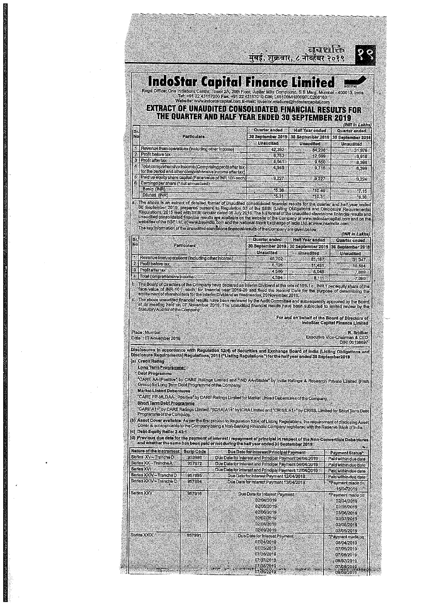लबशक्ति मुंबई, शुक्रवार, ८ नोव्हेंबर २०१९



## **IndoStar Capital Finance Lim**

Regd Office: One Indiabulls Centre, Tower 2A, 20th Floor, Jupiter Mills Compound, S.B. Warg, Mumbal - 400013, India<br>Tel: +91 22 43157000 Fax: +91 22 43157010 CIN: L65100MH2009PLC268160<br>Website: www.indostarcapital.com E-ma

## EXTRACT OF UNAUDITED CONSOLIDATED FINANCIAL RESULTS FOR THE QUARTER AND HALF YEAR ENDED 30 SEPTEMBER 2019 **INR In Lakh**

| ١s. |                                                                                                                       | Quarter ended     | <b>Half Year ended</b> | Quarter ended     |
|-----|-----------------------------------------------------------------------------------------------------------------------|-------------------|------------------------|-------------------|
| No  | <b>Particulars</b>                                                                                                    | 30 September 2019 | 30 September 2019      | 30 September 2018 |
|     |                                                                                                                       | <b>Unaudited</b>  | <b>Unaudited</b>       | <b>Unaudited</b>  |
|     | Revenue from operations (including other income)                                                                      | 42,392            | 84 298                 | 31,976            |
|     | 2 Profit before tax                                                                                                   | 6.753             | 12 599                 | 9,916             |
|     | 3   Profit after tax                                                                                                  | 4.941             | 9650                   | 6,398             |
|     | Total comprehensive Income (Comprising profit after tax.<br>for the period and other comprehensive income after tax). | 4.948             | 9716                   | 6.399             |
|     | Paid up equity share capital (Face value of INR 10/-each)                                                             | 9.227             | 9.227                  | 9,224             |
|     | Earnings per share (* not annualised)                                                                                 |                   |                        |                   |
|     | Basic (INR)                                                                                                           | 15.36             | 10.46                  | <b>785</b>        |
|     | Diluted (INR)                                                                                                         | 20.3              | 10.31                  | 6.36              |
|     |                                                                                                                       |                   |                        |                   |

The above is an extract of detailed format of unaudited consolidated financial<br>30 September 2019, prepared pursunt to Regulation 33 of the SEBI (Listing Obligations and Distioscale and half<br>30 September 2019, prepared purs The key information of the unaudited standatone financial results of the Company are given below:

| $\frac{15}{N}$                                   | Quarter ended                                           | Half Year ended | <b>Ouarter ended</b> |
|--------------------------------------------------|---------------------------------------------------------|-----------------|----------------------|
| Particulars                                      | 30 September 2019 130 September 2019 130 September 2018 |                 |                      |
|                                                  | Unaudited                                               | Unaudited       | <b>Unaudited</b>     |
| Revenue from operations (including other income) | 40.702                                                  | 81 167          | -31:347              |
| 2 Profit before tax                              | 6.126                                                   | 11:451          | 10.584               |
| <b>Frontattertax</b>                             | 4,586                                                   | 8.048           | 70893                |
| 14 Total comprehensive Income                    | 4.594                                                   | <b>R144%</b>    | ാനവി?                |

The Board of Directors of the Company have declared an Interim Dividend at the rate of 10% i.e., INR.1 per equity share of the<br>face value of INR 10 /- each, for financial year 2019-20 and fixed the Record Date for the purp

The above unaudited financial results have been reviewed by the Audit Committee and subsequently approved by the Board<br>at its meeting held on 07 November 2019. The unaudited financial results have been subjected to limited

For and on behalf of the Board of Directors of IndoStar Capital Finance Limited

| Place: Mumbal          |  |  |  |                               |               | R. Sridhar |
|------------------------|--|--|--|-------------------------------|---------------|------------|
|                        |  |  |  |                               |               |            |
|                        |  |  |  |                               |               |            |
| Date: 07 November 2019 |  |  |  | Executive Vice-Chairman & CEO |               |            |
|                        |  |  |  |                               |               |            |
|                        |  |  |  |                               | DIN: 00136697 |            |
|                        |  |  |  |                               |               |            |
|                        |  |  |  |                               |               |            |

Disclosures in accordance with Regulation 52(4) of Securities and Exchange Board of India (Listing Obligations and<br>Disclosure Requirementa) Regulations, 2015 ("Listing Regulations") for the half year ended 30 September2019 (a) Credit Rating

Long Term Programme:

· Debt Programme

\*CARE AA-Positive" by CARE Ratings Limited and \*IND AA-Stable" by India Ratings & Research Private Limited (Fitch<br>Group) for Long Term Debt Programme of the Company.

**Market Linked Debentures** 

"CARE PP-MLDAA-; Positive" by CARE Ratings Limited for Market Linked Debentures of the Company.

Short Term Debt Programme

"CAREA1+" by CARE Ratings Limited, "[ICRA]A1+" by ICRALImited and "CRIS|LA1+" by CRIS|L Limited for Short Term Debt<br>Programme of the Company.

(b) Asset Cover available: As per the first proviso to Regulation 52(4) of Listing Regulations, the requirement of disclosing Asset<br>Cover is not applicable to the Company being a Non-Banking Financial Company registered wi

(c) Debt-Equity Ratio: 2.43:1

| Nature of the Instrument | <b>Scrip Code</b> | Due Date for Interest/Principal Payment                                                                           | Payment Status*                                                                                      |
|--------------------------|-------------------|-------------------------------------------------------------------------------------------------------------------|------------------------------------------------------------------------------------------------------|
| Series XV-Tranche D.     | 953980            | Due Date for Interest and Principal Payment 04/04/2019                                                            | Paid within due date                                                                                 |
| Series XX-Tranche A      | 957672            | Due Date for Interest and Principal Payment 04/04/2019                                                            | Pald within due date                                                                                 |
| Series XVI               |                   | Due Date for Interest and Principal Payment 12/04/2019                                                            | Paid within due date                                                                                 |
| Series XXIV-Tranche D    | 957895            | Due Date for Interest Payment 12/04/2019                                                                          | Fald within due date                                                                                 |
| Series XXIV - Tranche C  | 957894            | Due Date for Interest Payment 13/04/2019                                                                          | Payment made on<br>15/04/2019                                                                        |
| Series XXV               | 957916            | Due Date for Interest Payment<br>02/04/2019<br>02/05/2019<br>02/06/2019                                           | *Payment made on<br>02/04/2019<br>02/05/2019<br>03/06/2019                                           |
|                          |                   | 02/07/2019<br>02/08/2019<br>02/09/2019                                                                            | 02/07/2019<br>02/08/2019<br>03/09/2019                                                               |
| Series XXIX              | 957991            | Due Date for Interest Payment<br>07/04/2019<br>07/05/2019<br>07/06/2019<br>07/07/2019<br>07/08/2019<br>07/09/2019 | *Payment made on<br>08/04/2019<br>07/05/2019<br>07/06/2019<br>08/07/2019<br>07/08/2019<br>09/09/2019 |